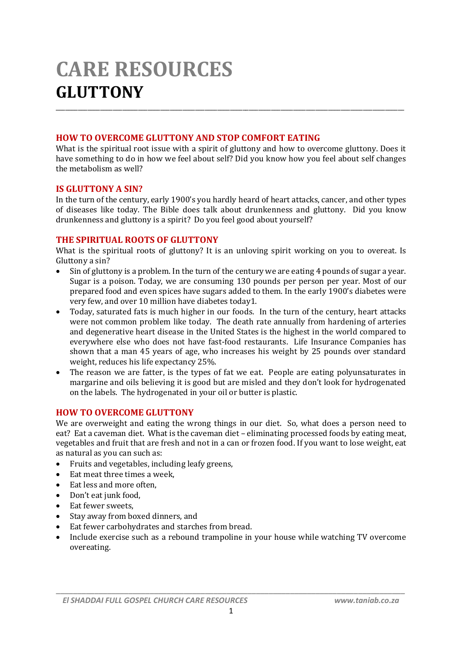# **CARE RESOURCES GLUTTONY** \_\_\_\_\_\_\_\_\_\_\_\_\_\_\_\_\_\_\_\_\_\_\_\_\_\_\_\_\_\_\_\_\_\_\_\_\_\_\_\_\_\_\_\_\_\_\_\_\_\_\_\_\_\_\_\_\_\_\_\_\_\_\_\_\_\_\_\_\_\_\_\_\_\_\_\_\_\_\_\_\_\_\_\_\_\_\_\_\_\_\_\_\_\_\_\_\_\_\_\_\_\_\_\_\_\_\_\_\_\_

#### **HOW TO OVERCOME GLUTTONY AND STOP COMFORT EATING**

What is the spiritual root issue with a spirit of gluttony and how to overcome gluttony. Does it have something to do in how we feel about self? Did you know how you feel about self changes the metabolism as well?

#### **IS GLUTTONY A SIN?**

In the turn of the century, early 1900's you hardly heard of heart attacks, cancer, and other types of diseases like today. The Bible does talk about drunkenness and gluttony. Did you know drunkenness and gluttony is a spirit? Do you feel good about yourself?

## **THE SPIRITUAL ROOTS OF GLUTTONY**

What is the spiritual roots of gluttony? It is an unloving spirit working on you to overeat. Is Gluttony a sin?

- Sin of gluttony is a problem. In the turn of the century we are eating 4 pounds of sugar a year. Sugar is a poison. Today, we are consuming 130 pounds per person per year. Most of our prepared food and even spices have sugars added to them. In the early 1900's diabetes were very few, and over 10 million have diabetes today1.
- Today, saturated fats is much higher in our foods. In the turn of the century, heart attacks were not common problem like today. The death rate annually from hardening of arteries and degenerative heart disease in the United States is the highest in the world compared to everywhere else who does not have fast-food restaurants. Life Insurance Companies has shown that a man 45 years of age, who increases his weight by 25 pounds over standard weight, reduces his life expectancy 25%.
- The reason we are fatter, is the types of fat we eat. People are eating polyunsaturates in margarine and oils believing it is good but are misled and they don't look for hydrogenated on the labels. The hydrogenated in your oil or butter is plastic.

## **HOW TO OVERCOME GLUTTONY**

We are overweight and eating the wrong things in our diet. So, what does a person need to eat? Eat a caveman diet. What is the caveman diet – eliminating processed foods by eating meat, vegetables and fruit that are fresh and not in a can or frozen food. If you want to lose weight, eat as natural as you can such as:

- Fruits and vegetables, including leafy greens,
- Eat meat three times a week,
- Eat less and more often,
- Don't eat junk food.
- Eat fewer sweets,
- Stay away from boxed dinners, and
- Eat fewer carbohydrates and starches from bread.
- Include exercise such as a rebound trampoline in your house while watching TV overcome overeating.

*\_\_\_\_\_\_\_\_\_\_\_\_\_\_\_\_\_\_\_\_\_\_\_\_\_\_\_\_\_\_\_\_\_\_\_\_\_\_\_\_\_\_\_\_\_\_\_\_\_\_\_\_\_\_\_\_\_\_\_\_\_\_\_\_\_\_\_\_\_\_\_\_\_\_\_\_\_\_\_\_\_\_*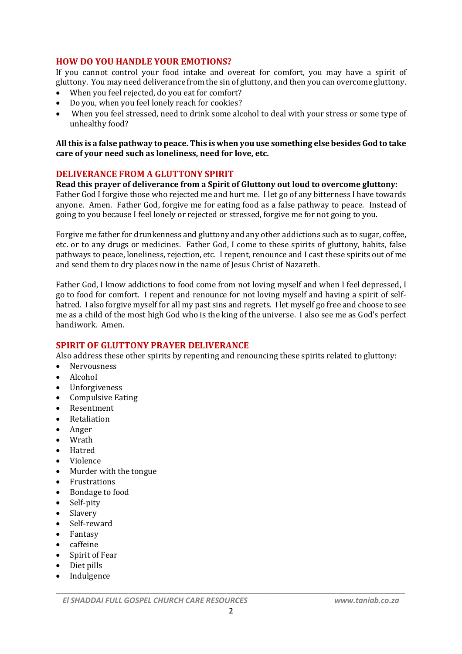## **HOW DO YOU HANDLE YOUR EMOTIONS?**

If you cannot control your food intake and overeat for comfort, you may have a spirit of gluttony. You may need deliverance from the sin of gluttony, and then you can overcome gluttony.

- When you feel rejected, do you eat for comfort?
- Do you, when you feel lonely reach for cookies?
- When you feel stressed, need to drink some alcohol to deal with your stress or some type of unhealthy food?

**All this is a false pathway to peace. This is when you use something else besides God to take care of your need such as loneliness, need for love, etc.**

## **DELIVERANCE FROM A GLUTTONY SPIRIT**

**Read this prayer of deliverance from a Spirit of Gluttony out loud to overcome gluttony:** Father God I forgive those who rejected me and hurt me. I let go of any bitterness I have towards anyone. Amen. Father God, forgive me for eating food as a false pathway to peace. Instead of going to you because I feel lonely or rejected or stressed, forgive me for not going to you.

Forgive me father for drunkenness and gluttony and any other addictions such as to sugar, coffee, etc. or to any drugs or medicines. Father God, I come to these spirits of gluttony, habits, false pathways to peace, loneliness, rejection, etc. I repent, renounce and I cast these spirits out of me and send them to dry places now in the name of Jesus Christ of Nazareth.

Father God, I know addictions to food come from not loving myself and when I feel depressed, I go to food for comfort. I repent and renounce for not loving myself and having a spirit of selfhatred. I also forgive myself for all my past sins and regrets. I let myself go free and choose to see me as a child of the most high God who is the king of the universe. I also see me as God's perfect handiwork. Amen.

## **SPIRIT OF GLUTTONY PRAYER DELIVERANCE**

Also address these other spirits by repenting and renouncing these spirits related to gluttony:

- Nervousness
- Alcohol
- Unforgiveness
- Compulsive Eating
- Resentment
- Retaliation
- Anger
- Wrath
- Hatred
- Violence
- Murder with the tongue
- Frustrations
- Bondage to food
- Self-pity
- Slavery
- Self-reward
- Fantasy
- caffeine
- Spirit of Fear
- Diet pills
- Indulgence

*\_\_\_\_\_\_\_\_\_\_\_\_\_\_\_\_\_\_\_\_\_\_\_\_\_\_\_\_\_\_\_\_\_\_\_\_\_\_\_\_\_\_\_\_\_\_\_\_\_\_\_\_\_\_\_\_\_\_\_\_\_\_\_\_\_\_\_\_\_\_\_\_\_\_\_\_\_\_\_\_\_\_*